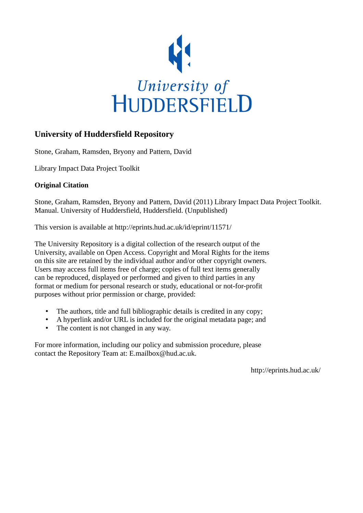

# **University of Huddersfield Repository**

Stone, Graham, Ramsden, Bryony and Pattern, David

Library Impact Data Project Toolkit

## **Original Citation**

Stone, Graham, Ramsden, Bryony and Pattern, David (2011) Library Impact Data Project Toolkit. Manual. University of Huddersfield, Huddersfield. (Unpublished)

This version is available at http://eprints.hud.ac.uk/id/eprint/11571/

The University Repository is a digital collection of the research output of the University, available on Open Access. Copyright and Moral Rights for the items on this site are retained by the individual author and/or other copyright owners. Users may access full items free of charge; copies of full text items generally can be reproduced, displayed or performed and given to third parties in any format or medium for personal research or study, educational or not-for-profit purposes without prior permission or charge, provided:

- The authors, title and full bibliographic details is credited in any copy;
- A hyperlink and/or URL is included for the original metadata page; and
- The content is not changed in any way.

For more information, including our policy and submission procedure, please contact the Repository Team at: E.mailbox@hud.ac.uk.

http://eprints.hud.ac.uk/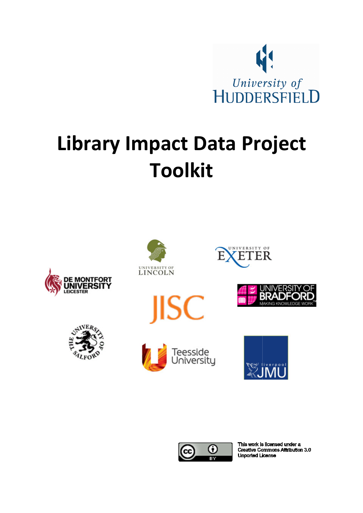

# Library Impact Data Project Toolkit



















This work is licensed under a **Creative Commons Attribution 3.0 Unported License**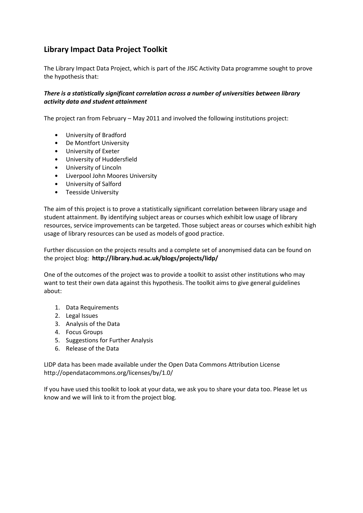# Library Impact Data Project Toolkit

The Library Impact Data Project, which is part of the JISC Activity Data programme sought to prove the hypothesis that:

## There is a statistically significant correlation across a number of universities between library activity data and student attainment

The project ran from February – May 2011 and involved the following institutions project:

- University of Bradford
- De Montfort University
- University of Exeter
- University of Huddersfield
- University of Lincoln
- Liverpool John Moores University
- University of Salford
- Teesside University

The aim of this project is to prove a statistically significant correlation between library usage and student attainment. By identifying subject areas or courses which exhibit low usage of library resources, service improvements can be targeted. Those subject areas or courses which exhibit high usage of library resources can be used as models of good practice.

Further discussion on the projects results and a complete set of anonymised data can be found on the project blog: http://library.hud.ac.uk/blogs/projects/lidp/

One of the outcomes of the project was to provide a toolkit to assist other institutions who may want to test their own data against this hypothesis. The toolkit aims to give general guidelines about:

- 1. Data Requirements
- 2. Legal Issues
- 3. Analysis of the Data
- 4. Focus Groups
- 5. Suggestions for Further Analysis
- 6. Release of the Data

LIDP data has been made available under the Open Data Commons Attribution License http://opendatacommons.org/licenses/by/1.0/

If you have used this toolkit to look at your data, we ask you to share your data too. Please let us know and we will link to it from the project blog.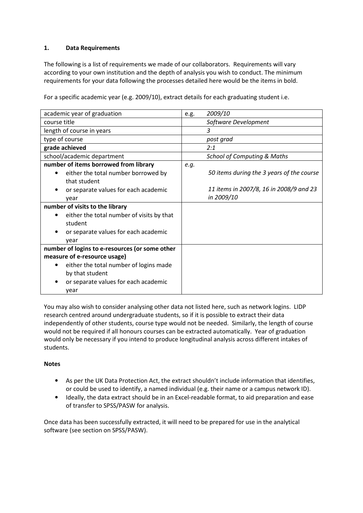## 1. Data Requirements

The following is a list of requirements we made of our collaborators. Requirements will vary according to your own institution and the depth of analysis you wish to conduct. The minimum requirements for your data following the processes detailed here would be the items in bold.

For a specific academic year (e.g. 2009/10), extract details for each graduating student i.e.

| academic year of graduation                                            | 2009/10<br>e.g.                                       |  |
|------------------------------------------------------------------------|-------------------------------------------------------|--|
| course title                                                           | Software Development                                  |  |
| length of course in years                                              | 3                                                     |  |
| type of course                                                         | post grad                                             |  |
| grade achieved                                                         | 2:1                                                   |  |
| school/academic department                                             | <b>School of Computing &amp; Maths</b>                |  |
| number of items borrowed from library                                  | e.g.                                                  |  |
| either the total number borrowed by<br>٠<br>that student               | 50 items during the 3 years of the course             |  |
| or separate values for each academic<br>year                           | 11 items in 2007/8, 16 in 2008/9 and 23<br>in 2009/10 |  |
| number of visits to the library                                        |                                                       |  |
| either the total number of visits by that<br>student                   |                                                       |  |
| or separate values for each academic<br>year                           |                                                       |  |
| number of logins to e-resources (or some other                         |                                                       |  |
| measure of e-resource usage)                                           |                                                       |  |
| either the total number of logins made<br>$\bullet$<br>by that student |                                                       |  |
| or separate values for each academic<br>year                           |                                                       |  |

You may also wish to consider analysing other data not listed here, such as network logins. LIDP research centred around undergraduate students, so if it is possible to extract their data independently of other students, course type would not be needed. Similarly, the length of course would not be required if all honours courses can be extracted automatically. Year of graduation would only be necessary if you intend to produce longitudinal analysis across different intakes of students.

## **Notes**

- As per the UK Data Protection Act, the extract shouldn't include information that identifies, or could be used to identify, a named individual (e.g. their name or a campus network ID).
- Ideally, the data extract should be in an Excel-readable format, to aid preparation and ease of transfer to SPSS/PASW for analysis.

Once data has been successfully extracted, it will need to be prepared for use in the analytical software (see section on SPSS/PASW).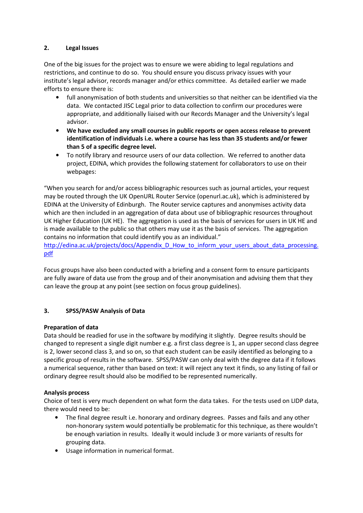## 2. Legal Issues

One of the big issues for the project was to ensure we were abiding to legal regulations and restrictions, and continue to do so. You should ensure you discuss privacy issues with your institute's legal advisor, records manager and/or ethics committee. As detailed earlier we made efforts to ensure there is:

- full anonymisation of both students and universities so that neither can be identified via the data. We contacted JISC Legal prior to data collection to confirm our procedures were appropriate, and additionally liaised with our Records Manager and the University's legal advisor.
- We have excluded any small courses in public reports or open access release to prevent identification of individuals i.e. where a course has less than 35 students and/or fewer than 5 of a specific degree level.
- To notify library and resource users of our data collection. We referred to another data project, EDINA, which provides the following statement for collaborators to use on their webpages:

"When you search for and/or access bibliographic resources such as journal articles, your request may be routed through the UK OpenURL Router Service (openurl.ac.uk), which is administered by EDINA at the University of Edinburgh. The Router service captures and anonymises activity data which are then included in an aggregation of data about use of bibliographic resources throughout UK Higher Education (UK HE). The aggregation is used as the basis of services for users in UK HE and is made available to the public so that others may use it as the basis of services. The aggregation contains no information that could identify you as an individual."

http://edina.ac.uk/projects/docs/Appendix\_D\_How\_to\_inform\_your\_users\_about\_data\_processing. pdf

Focus groups have also been conducted with a briefing and a consent form to ensure participants are fully aware of data use from the group and of their anonymisation and advising them that they can leave the group at any point (see section on focus group guidelines).

## 3. SPSS/PASW Analysis of Data

## Preparation of data

Data should be readied for use in the software by modifying it slightly. Degree results should be changed to represent a single digit number e.g. a first class degree is 1, an upper second class degree is 2, lower second class 3, and so on, so that each student can be easily identified as belonging to a specific group of results in the software. SPSS/PASW can only deal with the degree data if it follows a numerical sequence, rather than based on text: it will reject any text it finds, so any listing of fail or ordinary degree result should also be modified to be represented numerically.

## Analysis process

Choice of test is very much dependent on what form the data takes. For the tests used on LIDP data, there would need to be:

- The final degree result i.e. honorary and ordinary degrees. Passes and fails and any other non-honorary system would potentially be problematic for this technique, as there wouldn't be enough variation in results. Ideally it would include 3 or more variants of results for grouping data.
- Usage information in numerical format.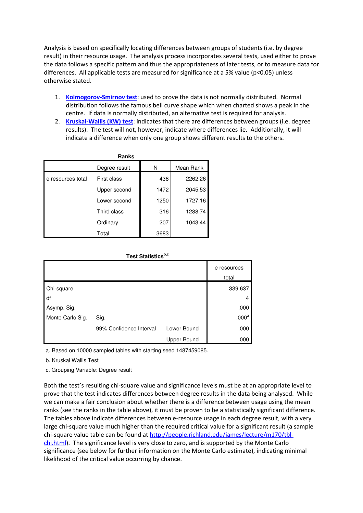Analysis is based on specifically locating differences between groups of students (i.e. by degree result) in their resource usage. The analysis process incorporates several tests, used either to prove the data follows a specific pattern and thus the appropriateness of later tests, or to measure data for differences. All applicable tests are measured for significance at a 5% value (p<0.05) unless otherwise stated.

- 1. Kolmogorov-Smirnov test: used to prove the data is not normally distributed. Normal distribution follows the famous bell curve shape which when charted shows a peak in the centre. If data is normally distributed, an alternative test is required for analysis.
- 2. Kruskal-Wallis (KW) test: indicates that there are differences between groups (i.e. degree results). The test will not, however, indicate where differences lie. Additionally, it will indicate a difference when only one group shows different results to the others.

| <b>Ranks</b>      |               |      |           |  |
|-------------------|---------------|------|-----------|--|
|                   | Degree result | N    | Mean Rank |  |
| e resources total | First class   | 438  | 2262.26   |  |
|                   | Upper second  | 1472 | 2045.53   |  |
|                   | Lower second  | 1250 | 1727.16   |  |
|                   | Third class   | 316  | 1288.74   |  |
|                   | Ordinary      | 207  | 1043.44   |  |
|                   | Total         | 3683 |           |  |

|  | Test Statisticsb,c |
|--|--------------------|
|--|--------------------|

|                  |                         |             | e resources<br>total |
|------------------|-------------------------|-------------|----------------------|
| Chi-square       |                         |             | 339.637              |
| I df             |                         |             | 4                    |
| Asymp. Sig.      |                         |             | .000                 |
| Monte Carlo Sig. | Sig.                    |             | .000 <sup>a</sup>    |
|                  | 99% Confidence Interval | Lower Bound | .000                 |
|                  |                         | Upper Bound | .000                 |

a. Based on 10000 sampled tables with starting seed 1487459085.

b. Kruskal Wallis Test

c. Grouping Variable: Degree result

Both the test's resulting chi-square value and significance levels must be at an appropriate level to prove that the test indicates differences between degree results in the data being analysed. While we can make a fair conclusion about whether there is a difference between usage using the mean ranks (see the ranks in the table above), it must be proven to be a statistically significant difference. The tables above indicate differences between e-resource usage in each degree result, with a very large chi-square value much higher than the required critical value for a significant result (a sample chi-square value table can be found at http://people.richland.edu/james/lecture/m170/tblchi.html). The significance level is very close to zero, and is supported by the Monte Carlo significance (see below for further information on the Monte Carlo estimate), indicating minimal likelihood of the critical value occurring by chance.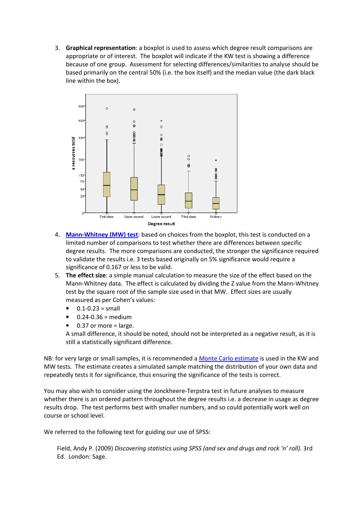3. Graphical representation: a boxplot is used to assess which degree result comparisons are appropriate or of interest. The boxplot will indicate if the KW test is showing a difference because of one group. Assessment for selecting differences/similarities to analyse should be based primarily on the central 50% (i.e. the box itself) and the median value (the dark black line within the box).



- 4. Mann-Whitney (MW) test: based on choices from the boxplot, this test is conducted on a limited number of comparisons to test whether there are differences between specific degree results. The more comparisons are conducted, the stronger the significance required to validate the results i.e. 3 tests based originally on 5% significance would require a significance of 0.167 or less to be valid.
- 5. The effect size: a simple manual calculation to measure the size of the effect based on the Mann-Whitney data. The effect is calculated by dividing the Z value from the Mann-Whitney test by the square root of the sample size used in that MW. Effect sizes are usually measured as per Cohen's values:
	- $0.1 0.23 = \text{small}$
	- $0.24 0.36$  = medium
	- 0.37 or more  $=$  large.

A small difference, it should be noted, should not be interpreted as a negative result, as it is still a statistically significant difference.

NB: for very large or small samples, it is recommended a Monte Carlo estimate is used in the KW and MW tests. The estimate creates a simulated sample matching the distribution of your own data and repeatedly tests it for significance, thus ensuring the significance of the tests is correct.

You may also wish to consider using the Jonckheere-Terpstra test in future analyses to measure whether there is an ordered pattern throughout the degree results i.e. a decrease in usage as degree results drop. The test performs best with smaller numbers, and so could potentially work well on course or school level.

We referred to the following text for guiding our use of SPSS:

Field, Andy P. (2009) Discovering statistics using SPSS (and sex and drugs and rock 'n' roll). 3rd Ed. London: Sage.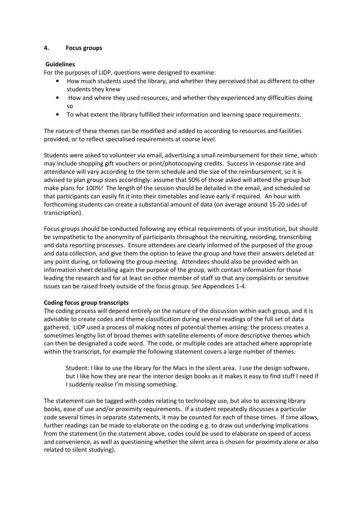#### 4. Focus groups

## Guidelines

For the purposes of LIDP, questions were designed to examine:

- How much students used the library, and whether they perceived that as different to other students they knew
- How and where they used resources, and whether they experienced any difficulties doing so
- To what extent the library fulfilled their information and learning space requirements.

The nature of these themes can be modified and added to according to resources and facilities provided, or to reflect specialised requirements at course level.

Students were asked to volunteer via email, advertising a small reimbursement for their time, which may include shopping gift vouchers or print/photocopying credits. Success in response rate and attendance will vary according to the term schedule and the size of the reimbursement, so it is advised to plan group sizes accordingly: assume that 50% of those asked will attend the group but make plans for 100%! The length of the session should be detailed in the email, and scheduled so that participants can easily fit it into their timetables and leave early if required. An hour with forthcoming students can create a substantial amount of data (on average around 15-20 sides of transcription).

Focus groups should be conducted following any ethical requirements of your institution, but should be sympathetic to the anonymity of participants throughout the recruiting, recording, transcribing and data reporting processes. Ensure attendees are clearly informed of the purposed of the group and data collection, and give them the option to leave the group and have their answers deleted at any point during, or following the group meeting. Attendees should also be provided with an information sheet detailing again the purpose of the group, with contact information for those leading the research and for at least on other member of staff so that any complaints or sensitive issues can be raised freely outside of the focus group. See Appendices 1-4.

#### Coding focus group transcripts

The coding process will depend entirely on the nature of the discussion within each group, and it is advisable to create codes and theme classification during several readings of the full set of data gathered. LIDP used a process of making notes of potential themes arising: the process creates a sometimes lengthy list of broad themes with satellite elements of more descriptive themes which can then be designated a code word. The code, or multiple codes are attached where appropriate within the transcript, for example the following statement covers a large number of themes:

Student: I like to use the library for the Macs in the silent area. I use the design software, but I like how they are near the interior design books as it makes it easy to find stuff I need if I suddenly realise I'm missing something.

The statement can be tagged with codes relating to technology use, but also to accessing library books, ease of use and/or proximity requirements. If a student repeatedly discusses a particular code several times in separate statements, it may be counted for each of those times. If time allows, further readings can be made to elaborate on the coding e.g. to draw out underlying implications from the statement (in the statement above, codes could be used to elaborate on speed of access and convenience, as well as questioning whether the silent area is chosen for proximity alone or also related to silent studying).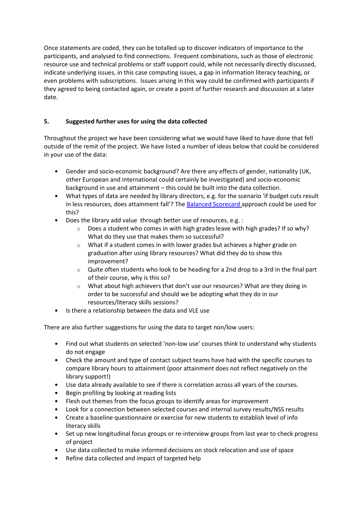Once statements are coded, they can be totalled up to discover indicators of importance to the participants, and analysed to find connections. Frequent combinations, such as those of electronic resource use and technical problems or staff support could, while not necessarily directly discussed, indicate underlying issues, in this case computing issues, a gap in information literacy teaching, or even problems with subscriptions. Issues arising in this way could be confirmed with participants if they agreed to being contacted again, or create a point of further research and discussion at a later date.

## 5. Suggested further uses for using the data collected

Throughout the project we have been considering what we would have liked to have done that fell outside of the remit of the project. We have listed a number of ideas below that could be considered in your use of the data:

- Gender and socio-economic background? Are there any effects of gender, nationality (UK, other European and international could certainly be investigated) and socio-economic background in use and attainment – this could be built into the data collection.
- What types of data are needed by library directors, e.g. for the scenario 'if budget cuts result in less resources, does attainment fall'? The **Balanced Scorecard approach could be used for** this?
- Does the library add value through better use of resources, e.g. :
	- $\circ$  Does a student who comes in with high grades leave with high grades? If so why? What do they use that makes them so successful?
	- o What if a student comes in with lower grades but achieves a higher grade on graduation after using library resources? What did they do to show this improvement?
	- o Quite often students who look to be heading for a 2nd drop to a 3rd in the final part of their course, why is this so?
	- $\circ$  What about high achievers that don't use our resources? What are they doing in order to be successful and should we be adopting what they do in our resources/literacy skills sessions?
- Is there a relationship between the data and VLE use

There are also further suggestions for using the data to target non/low users:

- Find out what students on selected 'non-low use' courses think to understand why students do not engage
- Check the amount and type of contact subject teams have had with the specific courses to compare library hours to attainment (poor attainment does not reflect negatively on the library support!)
- Use data already available to see if there is correlation across all years of the courses.
- Begin profiling by looking at reading lists
- Flesh out themes from the focus groups to identify areas for improvement
- Look for a connection between selected courses and internal survey results/NSS results
- Create a baseline questionnaire or exercise for new students to establish level of info literacy skills
- Set up new longitudinal focus groups or re-interview groups from last year to check progress of project
- Use data collected to make informed decisions on stock relocation and use of space
- Refine data collected and impact of targeted help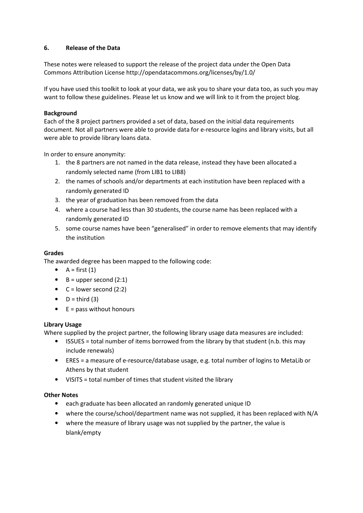## 6. Release of the Data

These notes were released to support the release of the project data under the Open Data Commons Attribution License http://opendatacommons.org/licenses/by/1.0/

If you have used this toolkit to look at your data, we ask you to share your data too, as such you may want to follow these guidelines. Please let us know and we will link to it from the project blog.

## **Background**

Each of the 8 project partners provided a set of data, based on the initial data requirements document. Not all partners were able to provide data for e-resource logins and library visits, but all were able to provide library loans data.

In order to ensure anonymity:

- 1. the 8 partners are not named in the data release, instead they have been allocated a randomly selected name (from LIB1 to LIB8)
- 2. the names of schools and/or departments at each institution have been replaced with a randomly generated ID
- 3. the year of graduation has been removed from the data
- 4. where a course had less than 30 students, the course name has been replaced with a randomly generated ID
- 5. some course names have been "generalised" in order to remove elements that may identify the institution

#### Grades

The awarded degree has been mapped to the following code:

- $A = first (1)$
- $\bullet$  B = upper second (2:1)
- $C =$  lower second (2:2)
- $\bullet$  D = third (3)
- $\bullet$  E = pass without honours

#### Library Usage

Where supplied by the project partner, the following library usage data measures are included:

- ISSUES = total number of items borrowed from the library by that student (n.b. this may include renewals)
- ERES = a measure of e-resource/database usage, e.g. total number of logins to MetaLib or Athens by that student
- VISITS = total number of times that student visited the library

#### Other Notes

- each graduate has been allocated an randomly generated unique ID
- where the course/school/department name was not supplied, it has been replaced with N/A
- where the measure of library usage was not supplied by the partner, the value is blank/empty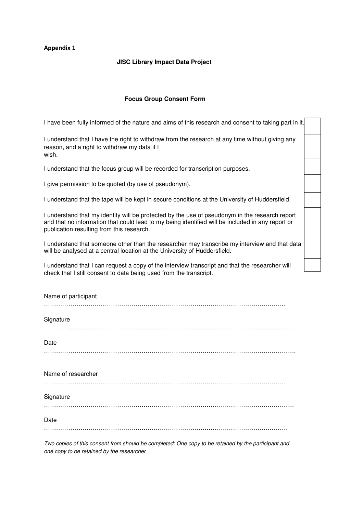#### **JISC Library Impact Data Project**

#### **Focus Group Consent Form**

I have been fully informed of the nature and aims of this research and consent to taking part in it.

I understand that I have the right to withdraw from the research at any time without giving any reason, and a right to withdraw my data if I wish.

I understand that the focus group will be recorded for transcription purposes.

I give permission to be quoted (by use of pseudonym).

I understand that the tape will be kept in secure conditions at the University of Huddersfield.

I understand that my identity will be protected by the use of pseudonym in the research report and that no information that could lead to my being identified will be included in any report or publication resulting from this research.

I understand that someone other than the researcher may transcribe my interview and that data will be analysed at a central location at the University of Huddersfield.

I understand that I can request a copy of the interview transcript and that the researcher will check that I still consent to data being used from the transcript.

| Name of participant                                                                                 |
|-----------------------------------------------------------------------------------------------------|
| Signature                                                                                           |
| Date                                                                                                |
| Name of researcher                                                                                  |
| Signature                                                                                           |
| Date                                                                                                |
| Two copies of this consent from should be completed: One copy to be retained by the participant and |

one copy to be retained by the researcher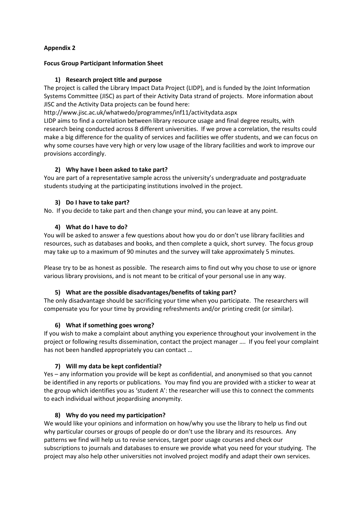## Focus Group Participant Information Sheet

## 1) Research project title and purpose

The project is called the Library Impact Data Project (LIDP), and is funded by the Joint Information Systems Committee (JISC) as part of their Activity Data strand of projects. More information about JISC and the Activity Data projects can be found here:

http://www.jisc.ac.uk/whatwedo/programmes/inf11/activitydata.aspx

LIDP aims to find a correlation between library resource usage and final degree results, with research being conducted across 8 different universities. If we prove a correlation, the results could make a big difference for the quality of services and facilities we offer students, and we can focus on why some courses have very high or very low usage of the library facilities and work to improve our provisions accordingly.

## 2) Why have I been asked to take part?

You are part of a representative sample across the university's undergraduate and postgraduate students studying at the participating institutions involved in the project.

## 3) Do I have to take part?

No. If you decide to take part and then change your mind, you can leave at any point.

## 4) What do I have to do?

You will be asked to answer a few questions about how you do or don't use library facilities and resources, such as databases and books, and then complete a quick, short survey. The focus group may take up to a maximum of 90 minutes and the survey will take approximately 5 minutes.

Please try to be as honest as possible. The research aims to find out why you chose to use or ignore various library provisions, and is not meant to be critical of your personal use in any way.

## 5) What are the possible disadvantages/benefits of taking part?

The only disadvantage should be sacrificing your time when you participate. The researchers will compensate you for your time by providing refreshments and/or printing credit (or similar).

## 6) What if something goes wrong?

If you wish to make a complaint about anything you experience throughout your involvement in the project or following results dissemination, contact the project manager …. If you feel your complaint has not been handled appropriately you can contact …

## 7) Will my data be kept confidential?

Yes – any information you provide will be kept as confidential, and anonymised so that you cannot be identified in any reports or publications. You may find you are provided with a sticker to wear at the group which identifies you as 'student A': the researcher will use this to connect the comments to each individual without jeopardising anonymity.

#### 8) Why do you need my participation?

We would like your opinions and information on how/why you use the library to help us find out why particular courses or groups of people do or don't use the library and its resources. Any patterns we find will help us to revise services, target poor usage courses and check our subscriptions to journals and databases to ensure we provide what you need for your studying. The project may also help other universities not involved project modify and adapt their own services.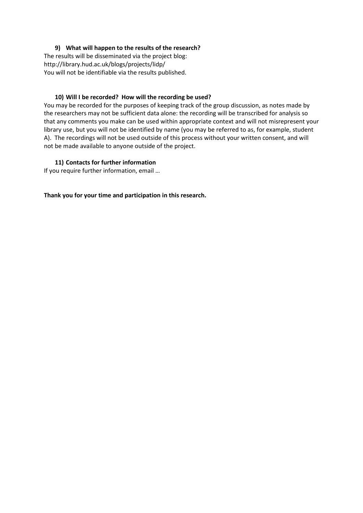## 9) What will happen to the results of the research?

The results will be disseminated via the project blog: http://library.hud.ac.uk/blogs/projects/lidp/ You will not be identifiable via the results published.

#### 10) Will I be recorded? How will the recording be used?

You may be recorded for the purposes of keeping track of the group discussion, as notes made by the researchers may not be sufficient data alone: the recording will be transcribed for analysis so that any comments you make can be used within appropriate context and will not misrepresent your library use, but you will not be identified by name (you may be referred to as, for example, student A). The recordings will not be used outside of this process without your written consent, and will not be made available to anyone outside of the project.

## 11) Contacts for further information

If you require further information, email …

Thank you for your time and participation in this research.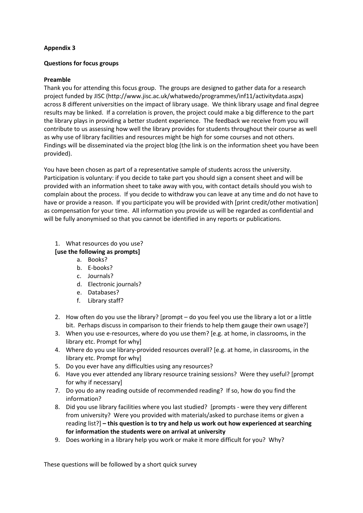## Questions for focus groups

## Preamble

Thank you for attending this focus group. The groups are designed to gather data for a research project funded by JISC (http://www.jisc.ac.uk/whatwedo/programmes/inf11/activitydata.aspx) across 8 different universities on the impact of library usage. We think library usage and final degree results may be linked. If a correlation is proven, the project could make a big difference to the part the library plays in providing a better student experience. The feedback we receive from you will contribute to us assessing how well the library provides for students throughout their course as well as why use of library facilities and resources might be high for some courses and not others. Findings will be disseminated via the project blog (the link is on the information sheet you have been provided).

You have been chosen as part of a representative sample of students across the university. Participation is voluntary: if you decide to take part you should sign a consent sheet and will be provided with an information sheet to take away with you, with contact details should you wish to complain about the process. If you decide to withdraw you can leave at any time and do not have to have or provide a reason. If you participate you will be provided with [print credit/other motivation] as compensation for your time. All information you provide us will be regarded as confidential and will be fully anonymised so that you cannot be identified in any reports or publications.

## 1. What resources do you use?

## [use the following as prompts]

- a. Books?
- b. E-books?
- c. Journals?
- d. Electronic journals?
- e. Databases?
- f. Library staff?
- 2. How often do you use the library? [prompt do you feel you use the library a lot or a little bit. Perhaps discuss in comparison to their friends to help them gauge their own usage?]
- 3. When you use e-resources, where do you use them? [e.g. at home, in classrooms, in the library etc. Prompt for why]
- 4. Where do you use library-provided resources overall? [e.g. at home, in classrooms, in the library etc. Prompt for why]
- 5. Do you ever have any difficulties using any resources?
- 6. Have you ever attended any library resource training sessions? Were they useful? [prompt for why if necessary]
- 7. Do you do any reading outside of recommended reading? If so, how do you find the information?
- 8. Did you use library facilities where you last studied? [prompts were they very different from university? Were you provided with materials/asked to purchase items or given a reading list?] – this question is to try and help us work out how experienced at searching for information the students were on arrival at university
- 9. Does working in a library help you work or make it more difficult for you? Why?

These questions will be followed by a short quick survey